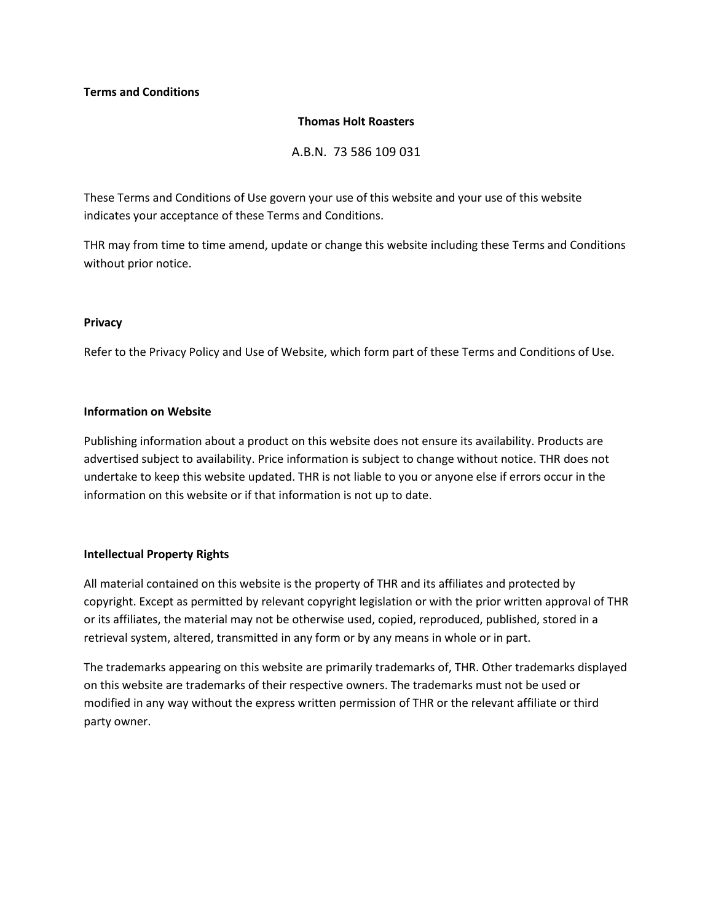# **Terms and Conditions**

#### **Thomas Holt Roasters**

A.B.N. 73 586 109 031

These Terms and Conditions of Use govern your use of this website and your use of this website indicates your acceptance of these Terms and Conditions.

THR may from time to time amend, update or change this website including these Terms and Conditions without prior notice.

### **Privacy**

Refer to the Privacy Policy and Use of Website, which form part of these Terms and Conditions of Use.

### **Information on Website**

Publishing information about a product on this website does not ensure its availability. Products are advertised subject to availability. Price information is subject to change without notice. THR does not undertake to keep this website updated. THR is not liable to you or anyone else if errors occur in the information on this website or if that information is not up to date.

# **Intellectual Property Rights**

All material contained on this website is the property of THR and its affiliates and protected by copyright. Except as permitted by relevant copyright legislation or with the prior written approval of THR or its affiliates, the material may not be otherwise used, copied, reproduced, published, stored in a retrieval system, altered, transmitted in any form or by any means in whole or in part.

The trademarks appearing on this website are primarily trademarks of, THR. Other trademarks displayed on this website are trademarks of their respective owners. The trademarks must not be used or modified in any way without the express written permission of THR or the relevant affiliate or third party owner.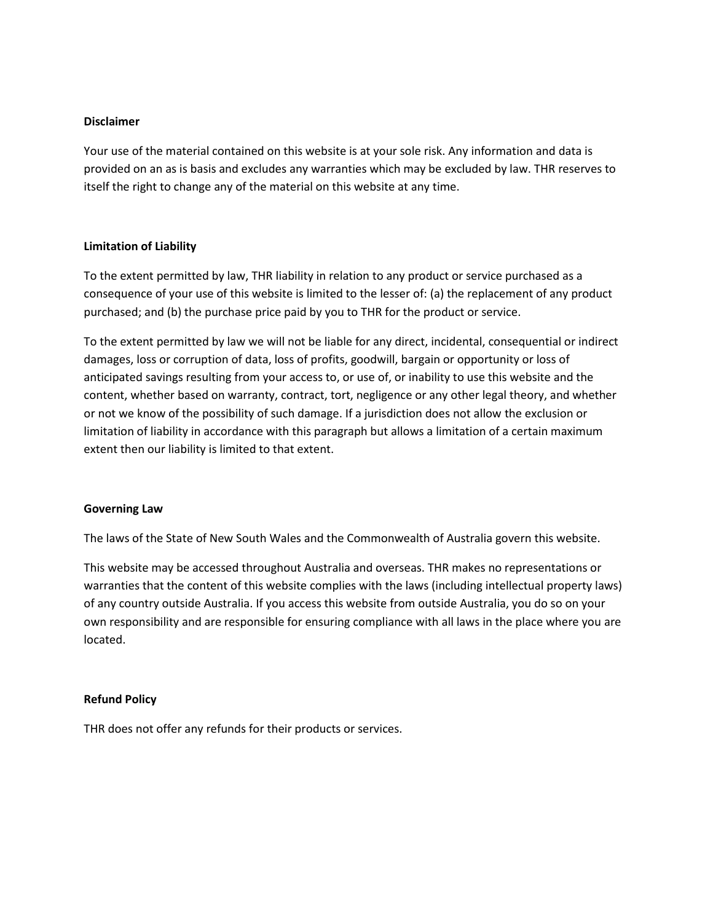# **Disclaimer**

Your use of the material contained on this website is at your sole risk. Any information and data is provided on an as is basis and excludes any warranties which may be excluded by law. THR reserves to itself the right to change any of the material on this website at any time.

# **Limitation of Liability**

To the extent permitted by law, THR liability in relation to any product or service purchased as a consequence of your use of this website is limited to the lesser of: (a) the replacement of any product purchased; and (b) the purchase price paid by you to THR for the product or service.

To the extent permitted by law we will not be liable for any direct, incidental, consequential or indirect damages, loss or corruption of data, loss of profits, goodwill, bargain or opportunity or loss of anticipated savings resulting from your access to, or use of, or inability to use this website and the content, whether based on warranty, contract, tort, negligence or any other legal theory, and whether or not we know of the possibility of such damage. If a jurisdiction does not allow the exclusion or limitation of liability in accordance with this paragraph but allows a limitation of a certain maximum extent then our liability is limited to that extent.

#### **Governing Law**

The laws of the State of New South Wales and the Commonwealth of Australia govern this website.

This website may be accessed throughout Australia and overseas. THR makes no representations or warranties that the content of this website complies with the laws (including intellectual property laws) of any country outside Australia. If you access this website from outside Australia, you do so on your own responsibility and are responsible for ensuring compliance with all laws in the place where you are located.

#### **Refund Policy**

THR does not offer any refunds for their products or services.